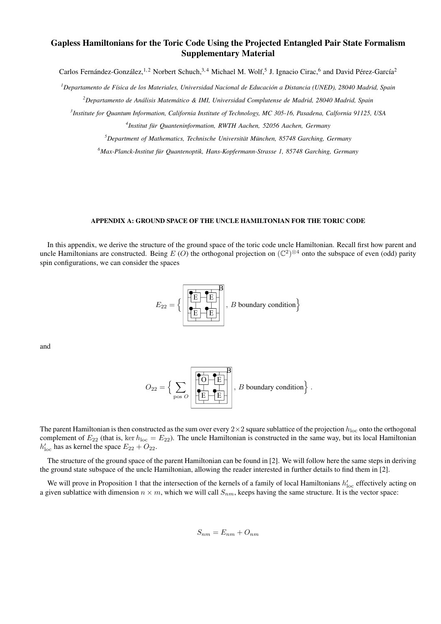## Gapless Hamiltonians for the Toric Code Using the Projected Entangled Pair State Formalism Supplementary Material

Carlos Fernández-González,<sup>1,2</sup> Norbert Schuch,<sup>3,4</sup> Michael M. Wolf,<sup>5</sup> J. Ignacio Cirac,<sup>6</sup> and David Pérez-García<sup>2</sup>

*<sup>1</sup>Departamento de F´ısica de los Materiales, Universidad Nacional de Educacion a Distancia (UNED), 28040 Madrid, Spain ´* <sup>2</sup>*Departamento de Análisis Matemático & IMI, Universidad Complutense de Madrid, 28040 Madrid, Spain* 

*3 Institute for Quantum Information, California Institute of Technology, MC 305-16, Pasadena, Calfornia 91125, USA*

*4 Institut fur Quanteninformation, RWTH Aachen, 52056 Aachen, Germany ¨*

<sup>5</sup>Department of Mathematics, Technische Universität München, 85748 Garching, Germany

*<sup>6</sup>Max-Planck-Institut fur Quantenoptik, Hans-Kopfermann-Strasse 1, 85748 Garching, Germany ¨*

## APPENDIX A: GROUND SPACE OF THE UNCLE HAMILTONIAN FOR THE TORIC CODE

In this appendix, we derive the structure of the ground space of the toric code uncle Hamiltonian. Recall first how parent and uncle Hamiltonians are constructed. Being E (O) the orthogonal projection on  $(\mathbb{C}^2)^{\otimes 4}$  onto the subspace of even (odd) parity spin configurations, we can consider the spaces

$$
E_{22} = \left\{ \left[ \begin{array}{rr} \begin{array}{|c|c|} \hline \textbf{E} & \textbf{B} \\ \hline \textbf{E} & \textbf{E} \\ \hline \textbf{E} & \textbf{E} \end{array} \end{array} \right], \, B \text{ boundary condition} \right\}
$$

and

$$
O_{22} = \left\{ \sum_{\text{pos } O} \left[ \left( \underbrace{\overbrace{\text{p}} \cdot \overbrace{\text{E}} \cdot \overbrace{\text{E}} \cdot \overbrace{\text{E}} \cdot \overbrace{\text{E}} \cdot \overbrace{\text{E}} \cdot \overbrace{\text{E}} \cdot \overbrace{\text{E}} \cdot \overbrace{\text{E}} \cdot \overbrace{\text{E}} \cdot \overbrace{\text{E}} \cdot \overbrace{\text{E}} \cdot \overbrace{\text{E}} \cdot \overbrace{\text{E}} \cdot \overbrace{\text{E}} \cdot \overbrace{\text{E}} \cdot \overbrace{\text{E}} \cdot \overbrace{\text{E}} \cdot \overbrace{\text{E}} \cdot \overbrace{\text{E}} \cdot \overbrace{\text{E}} \cdot \overbrace{\text{E}} \cdot \overbrace{\text{E}} \cdot \overbrace{\text{E}} \cdot \overbrace{\text{E}} \cdot \overbrace{\text{E}} \cdot \overbrace{\text{E}} \cdot \overbrace{\text{E}} \cdot \overbrace{\text{E}} \cdot \overbrace{\text{E}} \cdot \overbrace{\text{E}} \cdot \overbrace{\text{E}} \cdot \overbrace{\text{E}} \cdot \overbrace{\text{E}} \cdot \overbrace{\text{E}} \cdot \overbrace{\text{E}} \cdot \overbrace{\text{E}} \cdot \overbrace{\text{E}} \cdot \overbrace{\text{E}} \cdot \overbrace{\text{E}} \cdot \overbrace{\text{E}} \cdot \overbrace{\text{E}} \cdot \overbrace{\text{E}} \cdot \overbrace{\text{E}} \cdot \overbrace{\text{E}} \cdot \overbrace{\text{E}} \cdot \overbrace{\text{E}} \cdot \overbrace{\text{E}} \cdot \overbrace{\text{E}} \cdot \overbrace{\text{E}} \cdot \overbrace{\text{E}} \cdot \overbrace{\text{E}} \cdot \overbrace{\text{E}} \cdot \overbrace{\text{E}} \cdot \overbrace{\text{E}} \cdot \overbrace{\text{E}} \cdot \overbrace{\text{E}} \cdot \overbrace{\text{E}} \cdot \overbrace{\text{E}} \cdot \overbrace{\text{E}} \cdot \overbrace{\text{E}} \cdot \overbrace{\text{E}} \cdot \overbrace{\text{E}} \cdot \overbrace{\text{E}} \cdot \overbrace{\text{E}} \cdot \overbrace{\text{E}} \cdot \overbrace{\text{E}} \cdot \overbrace{\text{E}} \cdot \overbrace{\text{E}} \cdot \overbrace{\text{E}} \cdot \overbrace{\text{E}} \cdot \overbrace{\text{E}} \cdot \overbrace{\text{E}} \cdot
$$

The parent Hamiltonian is then constructed as the sum over every  $2\times 2$  square sublattice of the projection  $h_{\text{loc}}$  onto the orthogonal complement of  $E_{22}$  (that is, ker  $h_{loc} = E_{22}$ ). The uncle Hamiltonian is constructed in the same way, but its local Hamiltonian  $h'_{\text{loc}}$  has as kernel the space  $E_{22} + O_{22}$ .

The structure of the ground space of the parent Hamiltonian can be found in [2]. We will follow here the same steps in deriving the ground state subspace of the uncle Hamiltonian, allowing the reader interested in further details to find them in [2].

We will prove in Proposition 1 that the intersection of the kernels of a family of local Hamiltonians  $h'_{\text{loc}}$  effectively acting on a given sublattice with dimension  $n \times m$ , which we will call  $S_{nm}$ , keeps having the same structure. It is the vector space:

$$
S_{nm} = E_{nm} + O_{nm}
$$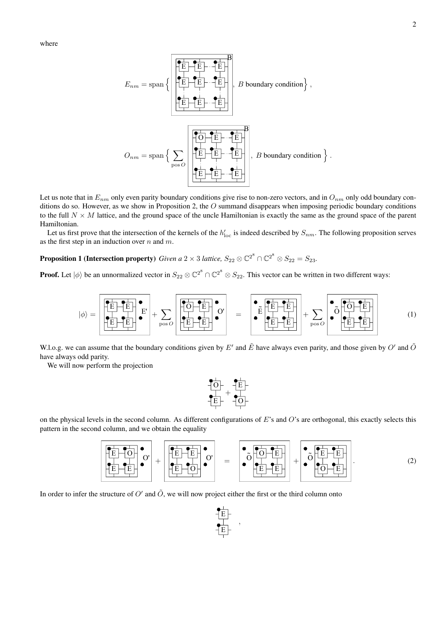where



Let us note that in  $E_{nm}$  only even parity boundary conditions give rise to non-zero vectors, and in  $O_{nm}$  only odd boundary conditions do so. However, as we show in Proposition 2, the  $O$  summand disappears when imposing periodic boundary conditions to the full  $N \times M$  lattice, and the ground space of the uncle Hamiltonian is exactly the same as the ground space of the parent Hamiltonian.

Let us first prove that the intersection of the kernels of the  $h'_{\text{loc}}$  is indeed described by  $S_{nm}$ . The following proposition serves as the first step in an induction over  $n$  and  $m$ .

**Proposition 1 (Intersection property)** *Given a* 2  $\times$  3 *lattice,*  $S_{22} \otimes \mathbb{C}^{2^8} \cap \mathbb{C}^{2^8} \otimes S_{22} = S_{23}$ .

**Proof.** Let  $|\phi\rangle$  be an unnormalized vector in  $S_{22}\otimes\mathbb{C}^{2^8}\cap\mathbb{C}^{2^8}\otimes S_{22}$ . This vector can be written in two different ways:

$$
|\phi\rangle = \n\begin{bmatrix}\n\overline{E} & \overline{E} \\
\overline{E} & \overline{E} \\
\overline{E} & \overline{E} \\
\overline{E} & \overline{E} \\
\overline{E} & \overline{E}\n\end{bmatrix} +\n\sum_{\text{pos } O} \n\begin{bmatrix}\n\overline{O} & \overline{E} & \bullet \\
\overline{O} & \overline{E} & \bullet \\
\overline{E} & \overline{E} & \overline{E} \\
\overline{E} & \overline{E} & \overline{E} \\
\overline{E} & \overline{E} & \overline{E}\n\end{bmatrix}\n+\n\sum_{\text{pos } O} \n\begin{bmatrix}\n\bullet & \bullet & \bullet \\
\overline{O} & \overline{O} & \overline{E} \\
\overline{E} & \overline{E} & \overline{E} \\
\overline{E} & \overline{E} & \overline{E}\n\end{bmatrix}\n\tag{1}
$$

W.l.o.g. we can assume that the boundary conditions given by  $E'$  and  $\tilde{E}$  have always even parity, and those given by  $O'$  and  $\tilde{O}$ have always odd parity.

We will now perform the projection

$$
\begin{array}{c}\n\begin{array}{c}\n\downarrow \\
\hline\n\downarrow \\
\hline\n\downarrow \\
\hline\n\downarrow\n\end{array} + \begin{array}{c}\n\begin{array}{c}\n\downarrow \\
\hline\n\downarrow \\
\hline\n\downarrow \\
\hline\n\downarrow\n\end{array}\n\end{array}
$$

on the physical levels in the second column. As different configurations of E's and O's are orthogonal, this exactly selects this pattern in the second column, and we obtain the equality

 $E \vdash$ 

 $E \vdash$ ,

$$
\begin{bmatrix}\n\mathbf{E} & \mathbf{I} & \mathbf{I} \\
\mathbf{E} & \mathbf{I} & \mathbf{I} \\
\mathbf{E} & \mathbf{E} & \mathbf{I}\n\end{bmatrix}\n\begin{bmatrix}\n\mathbf{I} & \mathbf{I} & \mathbf{I} \\
\mathbf{I} & \mathbf{I} & \mathbf{I} \\
\mathbf{I} & \mathbf{I} & \mathbf{I} \\
\mathbf{I} & \mathbf{I} & \mathbf{I}\n\end{bmatrix}\n\begin{bmatrix}\n\mathbf{I} & \mathbf{I} & \mathbf{I} \\
\mathbf{I} & \mathbf{I} & \mathbf{I} \\
\mathbf{I} & \mathbf{I} & \mathbf{I} \\
\mathbf{I} & \mathbf{I} & \mathbf{I}\n\end{bmatrix}\n\begin{bmatrix}\n\mathbf{I} & \mathbf{I} & \mathbf{I} \\
\mathbf{I} & \mathbf{I} & \mathbf{I} \\
\mathbf{I} & \mathbf{I} & \mathbf{I} \\
\mathbf{I} & \mathbf{I} & \mathbf{I}\n\end{bmatrix}\n\begin{bmatrix}\n\mathbf{I} & \mathbf{I} & \mathbf{I} \\
\mathbf{I} & \mathbf{I} & \mathbf{I} \\
\mathbf{I} & \mathbf{I} & \mathbf{I} \\
\mathbf{I} & \mathbf{I} & \mathbf{I}\n\end{bmatrix}\n\begin{bmatrix}\n\mathbf{I} & \mathbf{I} & \mathbf{I} \\
\mathbf{I} & \mathbf{I} & \mathbf{I} \\
\mathbf{I} & \mathbf{I} & \mathbf{I} \\
\mathbf{I} & \mathbf{I} & \mathbf{I}\n\end{bmatrix}\n\begin{bmatrix}\n\mathbf{I} & \mathbf{I} & \mathbf{I} \\
\mathbf{I} & \mathbf{I} & \mathbf{I} \\
\mathbf{I} & \mathbf{I} & \mathbf{I} \\
\mathbf{I} & \mathbf{I} & \mathbf{I}\n\end{bmatrix}\n\begin{bmatrix}\n\mathbf{I} & \mathbf{I} & \mathbf{I} \\
\mathbf{I} & \mathbf{I} & \mathbf{I} \\
\mathbf{I} & \mathbf{I} & \mathbf{I}\n\end{bmatrix}\n\end{bmatrix}.\n\tag{2}
$$

In order to infer the structure of  $O'$  and  $\tilde{O}$ , we will now project either the first or the third column onto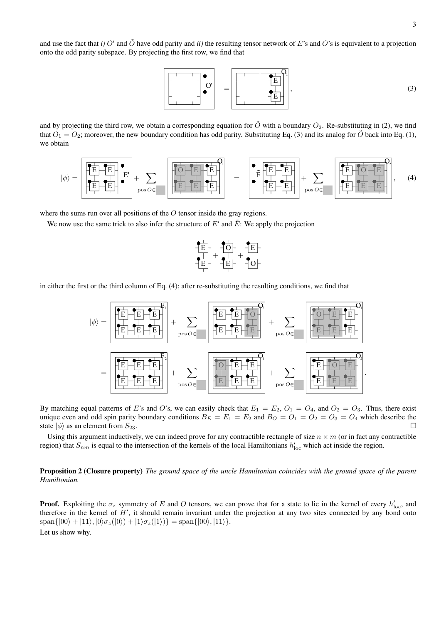3

and use the fact that *i*) O' and  $\tilde{O}$  have odd parity and *ii*) the resulting tensor network of E's and O's is equivalent to a projection onto the odd parity subspace. By projecting the first row, we find that

$$
\begin{bmatrix}\n\cdot & \cdot & \cdot \\
\cdot & \cdot & \cdot \\
\cdot & \cdot & \cdot\n\end{bmatrix} = \begin{bmatrix}\n\cdot & \cdot & \cdot \\
\cdot & \cdot & \cdot \\
\cdot & \cdot & \cdot \\
\cdot & \cdot & \cdot\n\end{bmatrix},\n\tag{3}
$$

and by projecting the third row, we obtain a corresponding equation for  $\tilde{O}$  with a boundary  $O_2$ . Re-substituting in (2), we find that  $O_1 = O_2$ ; moreover, the new boundary condition has odd parity. Substituting Eq. (3) and its analog for  $\tilde{O}$  back into Eq. (1), we obtain

<sup>|</sup>φ<sup>i</sup> <sup>=</sup> <sup>E</sup> <sup>E</sup> E E E' + X pos O∈ O E E E O E E 1 <sup>=</sup> <sup>E</sup> <sup>E</sup> E E E ~ + X pos O∈ E O E E O E E 2 , (4)

where the sums run over all positions of the  $O$  tensor inside the gray regions.

We now use the same trick to also infer the structure of  $E'$  and  $\tilde{E}$ : We apply the projection



in either the first or the third column of Eq. (4); after re-substituting the resulting conditions, we find that



By matching equal patterns of E's and O's, we can easily check that  $E_1 = E_2$ ,  $O_1 = O_4$ , and  $O_2 = O_3$ . Thus, there exist unique even and odd spin parity boundary conditions  $B_E = E_1 = E_2$  and  $B_O = O_1 = O_2 = O_3 = O_4$  which describe the state  $|\phi\rangle$  as an element from  $S_{23}$ .

Using this argument inductively, we can indeed prove for any contractible rectangle of size  $n \times m$  (or in fact any contractible region) that  $S_{nm}$  is equal to the intersection of the kernels of the local Hamiltonians  $h'_{loc}$  which act inside the region.

Proposition 2 (Closure property) *The ground space of the uncle Hamiltonian coincides with the ground space of the parent Hamiltonian.*

**Proof.** Exploiting the  $\sigma_z$  symmetry of E and O tensors, we can prove that for a state to lie in the kernel of every  $h'_{\text{loc}}$ , and therefore in the kernel of  $H'$ , it should remain invariant under the projection at any two sites connected by any bond onto  $\text{span}\{|00\rangle + |11\rangle, |0\rangle \sigma_z(|0\rangle) + |1\rangle \sigma_z(|1\rangle)\} = \text{span}\{|00\rangle, |11\rangle\}.$ Let us show why.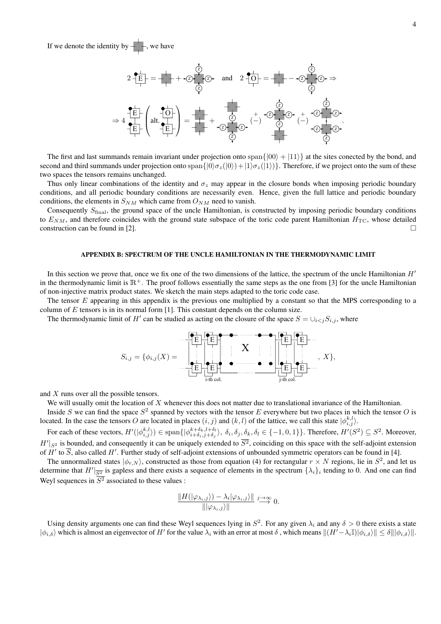If we denote the identity by  $-$ , we have



The first and last summands remain invariant under projection onto  $\text{span}\{|00\rangle + |11\rangle\}$  at the sites conected by the bond, and second and third summands under projection onto span $\{|0\rangle\sigma_z(|0\rangle)+|1\rangle\sigma_z(|1\rangle)\}$ . Therefore, if we project onto the sum of these two spaces the tensors remains unchanged.

Thus only linear combinations of the identity and  $\sigma_z$  may appear in the closure bonds when imposing periodic boundary conditions, and all periodic boundary conditions are necessarily even. Hence, given the full lattice and periodic boundary conditions, the elements in  $S_{NM}$  which came from  $O_{NM}$  need to vanish.

Consequently S<sub>final</sub>, the ground space of the uncle Hamiltonian, is constructed by imposing periodic boundary conditions to  $E_{NM}$ , and therefore coincides with the ground state subspace of the toric code parent Hamiltonian  $H_{TC}$ , whose detailed construction can be found in [2].  $\Box$ 

## APPENDIX B: SPECTRUM OF THE UNCLE HAMILTONIAN IN THE THERMODYNAMIC LIMIT

In this section we prove that, once we fix one of the two dimensions of the lattice, the spectrum of the uncle Hamiltonian  $H'$ in the thermodynamic limit is  $\mathbb{R}^+$ . The proof follows essentially the same steps as the one from [3] for the uncle Hamiltonian of non-injective matrix product states. We sketch the main steps adapted to the toric code case.

The tensor E appearing in this appendix is the previous one multiplied by a constant so that the MPS corresponding to a column of  $E$  tensors is in its normal form [1]. This constant depends on the column size.

The thermodynamic limit of H<sup>t</sup> can be studied as acting on the closure of the space  $S = \bigcup_{i < j} S_{i,j}$ , where



and X runs over all the possible tensors.

We will usually omit the location of  $X$  whenever this does not matter due to translational invariance of the Hamiltonian.

Inside S we can find the space  $S^2$  spanned by vectors with the tensor E everywhere but two places in which the tensor O is located. In the case the tensors O are located in places  $(i, j)$  and  $(k, l)$  of the lattice, we call this state  $|\phi_{i,j}^{k,l}\rangle$ .

For each of these vectors,  $H'(|\phi_{i,j}^{k,l}\rangle) \in \text{span}\{|\phi_{i+\delta_k,j+\delta_j}^{k+\delta_k,l+\delta_l}\rangle, \ \delta_i, \delta_j, \delta_k, \delta_l \in \{-1,0,1\}\}.$  Therefore,  $H'(S^2) \subseteq S^2$ . Moreover,  $H'|_{S^2}$  is bounded, and consequently it can be uniquely extended to  $\overline{S^2}$ , coinciding on this space with the self-adjoint extension of H' to  $\overline{S}$ , also called H'. Further study of self-adjoint extensions of unbounded symmetric operators can be found in [4].

The unnormalized states  $|\phi_{r,N}\rangle$ , constructed as those from equation (4) for rectangular  $r \times N$  regions, lie in  $S^2$ , and let us determine that  $H'|\overline{S^2}$  is gapless and there exists a sequence of elements in the spectrum  $\{\lambda_i\}_i$  tending to 0. And one can find Weyl sequences in  $\overline{S^2}$  associated to these values :

$$
\frac{\|H(|\varphi_{\lambda_i,j}\rangle)-\lambda_i|\varphi_{\lambda_i,j}\rangle\|}{\||\varphi_{\lambda_i,j}\rangle\|} \stackrel{j\to\infty}{\longrightarrow} 0.
$$

Using density arguments one can find these Weyl sequences lying in  $S^2$ . For any given  $\lambda_i$  and any  $\delta > 0$  there exists a state  $|\phi_{i,\delta}\rangle$  which is almost an eigenvector of H' for the value  $\lambda_i$  with an error at most  $\delta$ , which means  $||(H'-\lambda_i\mathbb{I})|\phi_{i,\delta}\rangle|| \leq \delta |||\phi_{i,\delta}\rangle||$ .